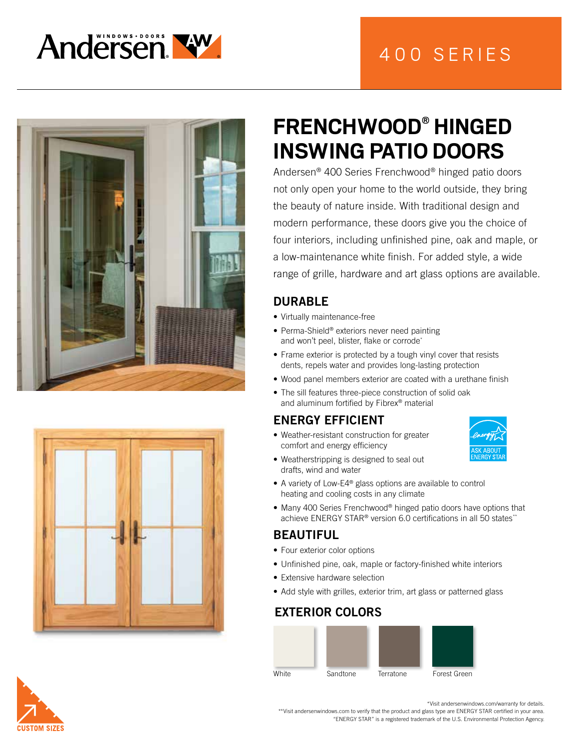





# **FRENCHWOOD® HINGED INSWING PATIO DOORS**

Andersen® 400 Series Frenchwood® hinged patio doors not only open your home to the world outside, they bring the beauty of nature inside. With traditional design and modern performance, these doors give you the choice of four interiors, including unfinished pine, oak and maple, or a low-maintenance white finish. For added style, a wide range of grille, hardware and art glass options are available.

### DURABLE

- Virtually maintenance-free
- Perma-Shield® exteriors never need painting and won't peel, blister, flake or corrode\*
- Frame exterior is protected by a tough vinyl cover that resists dents, repels water and provides long-lasting protection
- Wood panel members exterior are coated with a urethane finish
- The sill features three-piece construction of solid oak and aluminum fortified by Fibrex® material

#### ENERGY EFFICIENT

• Weather-resistant construction for greater comfort and energy efficiency



- Weatherstripping is designed to seal out drafts, wind and water
- A variety of Low-E4® glass options are available to control heating and cooling costs in any climate
- Many 400 Series Frenchwood® hinged patio doors have options that achieve ENERGY STAR<sup>®</sup> version 6.0 certifications in all 50 states<sup>\*</sup>\*

#### BEAUTIFUL

- Four exterior color options
- Unfinished pine, oak, maple or factory-finished white interiors
- Extensive hardware selection
- Add style with grilles, exterior trim, art glass or patterned glass

#### EXTERIOR COLORS





\*Visit andersenwindows.com/warranty for details.

\*\*Visit andersenwindows.com to verify that the product and glass type are ENERGY STAR certified in your area. "ENERGY STAR" is a registered trademark of the U.S. Environmental Protection Agency.